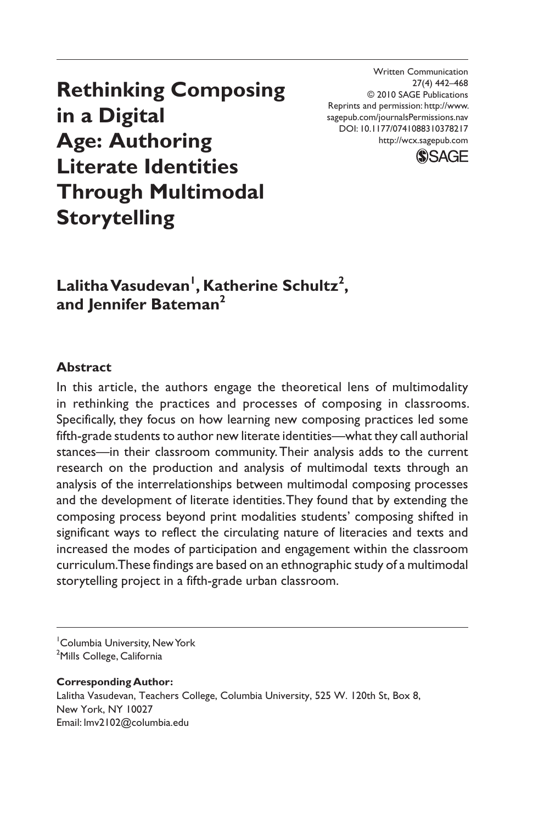**Rethinking Composing in a Digital Age: Authoring Literate Identities Through Multimodal Storytelling**

Written Communication 27(4) 442–468 © 2010 SAGE Publications Reprints and permission: http://www. sagepub.com/journalsPermissions.nav DOI: 10.1177/0741088310378217 http://wcx.sagepub.com



 $\mathsf{Lalitha Vasudevan<sup>1</sup>, \mathsf{Katherine Schultz<sup>2</sup>, }$ **and Jennifer Bateman2**

#### **Abstract**

In this article, the authors engage the theoretical lens of multimodality in rethinking the practices and processes of composing in classrooms. Specifically, they focus on how learning new composing practices led some fifth-grade students to author new literate identities—what they call authorial stances—in their classroom community. Their analysis adds to the current research on the production and analysis of multimodal texts through an analysis of the interrelationships between multimodal composing processes and the development of literate identities. They found that by extending the composing process beyond print modalities students' composing shifted in significant ways to reflect the circulating nature of literacies and texts and increased the modes of participation and engagement within the classroom curriculum. These findings are based on an ethnographic study of a multimodal storytelling project in a fifth-grade urban classroom.

1 Columbia University, New York <sup>2</sup>Mills College, California

#### **Corresponding Author:**

Lalitha Vasudevan, Teachers College, Columbia University, 525 W. 120th St, Box 8, New York, NY 10027 Email: lmv2102@columbia.edu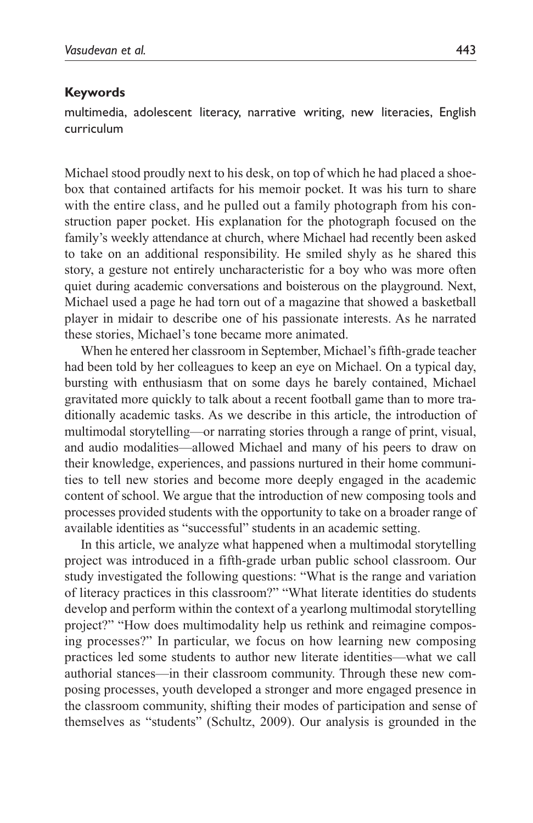#### **Keywords**

multimedia, adolescent literacy, narrative writing, new literacies, English curriculum

Michael stood proudly next to his desk, on top of which he had placed a shoebox that contained artifacts for his memoir pocket. It was his turn to share with the entire class, and he pulled out a family photograph from his construction paper pocket. His explanation for the photograph focused on the family's weekly attendance at church, where Michael had recently been asked to take on an additional responsibility. He smiled shyly as he shared this story, a gesture not entirely uncharacteristic for a boy who was more often quiet during academic conversations and boisterous on the playground. Next, Michael used a page he had torn out of a magazine that showed a basketball player in midair to describe one of his passionate interests. As he narrated these stories, Michael's tone became more animated.

When he entered her classroom in September, Michael's fifth-grade teacher had been told by her colleagues to keep an eye on Michael. On a typical day, bursting with enthusiasm that on some days he barely contained, Michael gravitated more quickly to talk about a recent football game than to more traditionally academic tasks. As we describe in this article, the introduction of multimodal storytelling—or narrating stories through a range of print, visual, and audio modalities—allowed Michael and many of his peers to draw on their knowledge, experiences, and passions nurtured in their home communities to tell new stories and become more deeply engaged in the academic content of school. We argue that the introduction of new composing tools and processes provided students with the opportunity to take on a broader range of available identities as "successful" students in an academic setting.

In this article, we analyze what happened when a multimodal storytelling project was introduced in a fifth-grade urban public school classroom. Our study investigated the following questions: "What is the range and variation of literacy practices in this classroom?" "What literate identities do students develop and perform within the context of a yearlong multimodal storytelling project?" "How does multimodality help us rethink and reimagine composing processes?" In particular, we focus on how learning new composing practices led some students to author new literate identities—what we call authorial stances—in their classroom community. Through these new composing processes, youth developed a stronger and more engaged presence in the classroom community, shifting their modes of participation and sense of themselves as "students" (Schultz, 2009). Our analysis is grounded in the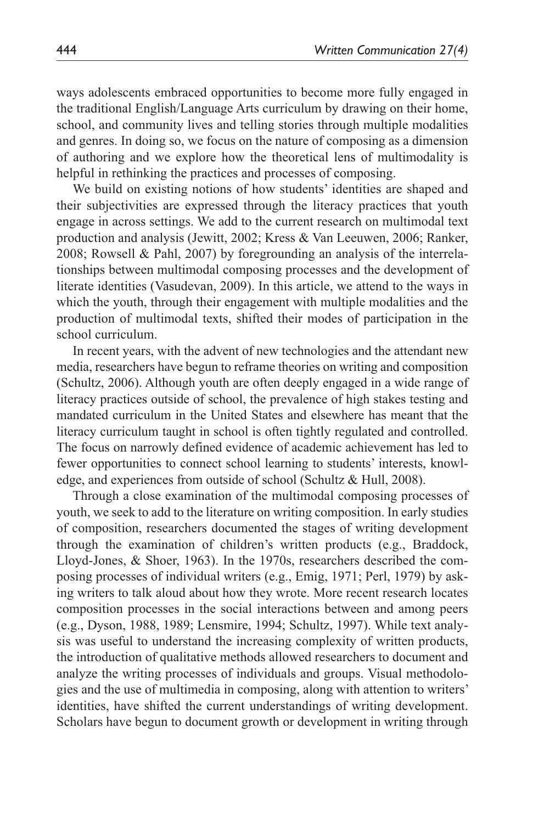ways adolescents embraced opportunities to become more fully engaged in the traditional English/Language Arts curriculum by drawing on their home, school, and community lives and telling stories through multiple modalities and genres. In doing so, we focus on the nature of composing as a dimension of authoring and we explore how the theoretical lens of multimodality is helpful in rethinking the practices and processes of composing.

We build on existing notions of how students' identities are shaped and their subjectivities are expressed through the literacy practices that youth engage in across settings. We add to the current research on multimodal text production and analysis (Jewitt, 2002; Kress & Van Leeuwen, 2006; Ranker, 2008; Rowsell & Pahl, 2007) by foregrounding an analysis of the interrelationships between multimodal composing processes and the development of literate identities (Vasudevan, 2009). In this article, we attend to the ways in which the youth, through their engagement with multiple modalities and the production of multimodal texts, shifted their modes of participation in the school curriculum.

In recent years, with the advent of new technologies and the attendant new media, researchers have begun to reframe theories on writing and composition (Schultz, 2006). Although youth are often deeply engaged in a wide range of literacy practices outside of school, the prevalence of high stakes testing and mandated curriculum in the United States and elsewhere has meant that the literacy curriculum taught in school is often tightly regulated and controlled. The focus on narrowly defined evidence of academic achievement has led to fewer opportunities to connect school learning to students' interests, knowledge, and experiences from outside of school (Schultz & Hull, 2008).

Through a close examination of the multimodal composing processes of youth, we seek to add to the literature on writing composition. In early studies of composition, researchers documented the stages of writing development through the examination of children's written products (e.g., Braddock, Lloyd-Jones, & Shoer, 1963). In the 1970s, researchers described the composing processes of individual writers (e.g., Emig, 1971; Perl, 1979) by asking writers to talk aloud about how they wrote. More recent research locates composition processes in the social interactions between and among peers (e.g., Dyson, 1988, 1989; Lensmire, 1994; Schultz, 1997). While text analysis was useful to understand the increasing complexity of written products, the introduction of qualitative methods allowed researchers to document and analyze the writing processes of individuals and groups. Visual methodologies and the use of multimedia in composing, along with attention to writers' identities, have shifted the current understandings of writing development. Scholars have begun to document growth or development in writing through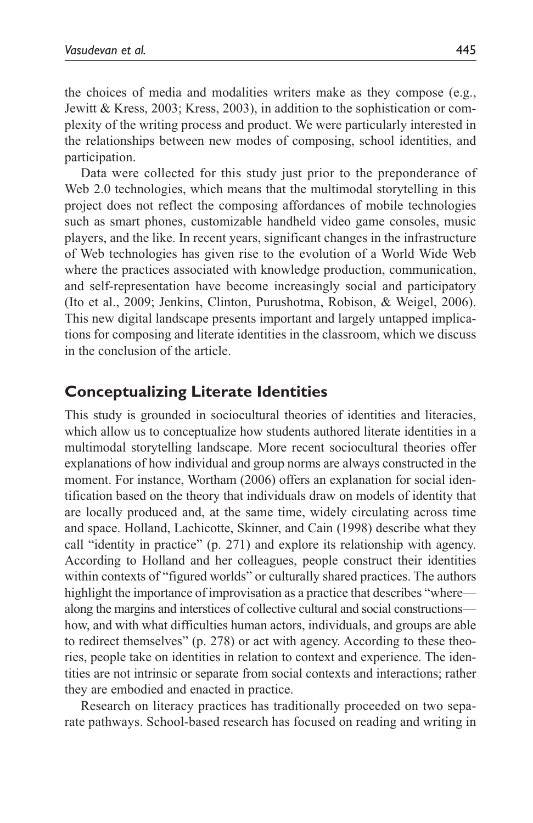the choices of media and modalities writers make as they compose (e.g., Jewitt & Kress, 2003; Kress, 2003), in addition to the sophistication or complexity of the writing process and product. We were particularly interested in the relationships between new modes of composing, school identities, and participation.

Data were collected for this study just prior to the preponderance of Web 2.0 technologies, which means that the multimodal storytelling in this project does not reflect the composing affordances of mobile technologies such as smart phones, customizable handheld video game consoles, music players, and the like. In recent years, significant changes in the infrastructure of Web technologies has given rise to the evolution of a World Wide Web where the practices associated with knowledge production, communication, and self-representation have become increasingly social and participatory (Ito et al., 2009; Jenkins, Clinton, Purushotma, Robison, & Weigel, 2006). This new digital landscape presents important and largely untapped implications for composing and literate identities in the classroom, which we discuss in the conclusion of the article.

### **Conceptualizing Literate Identities**

This study is grounded in sociocultural theories of identities and literacies, which allow us to conceptualize how students authored literate identities in a multimodal storytelling landscape. More recent sociocultural theories offer explanations of how individual and group norms are always constructed in the moment. For instance, Wortham (2006) offers an explanation for social identification based on the theory that individuals draw on models of identity that are locally produced and, at the same time, widely circulating across time and space. Holland, Lachicotte, Skinner, and Cain (1998) describe what they call "identity in practice" (p. 271) and explore its relationship with agency. According to Holland and her colleagues, people construct their identities within contexts of "figured worlds" or culturally shared practices. The authors highlight the importance of improvisation as a practice that describes "where along the margins and interstices of collective cultural and social constructions how, and with what difficulties human actors, individuals, and groups are able to redirect themselves" (p. 278) or act with agency. According to these theories, people take on identities in relation to context and experience. The identities are not intrinsic or separate from social contexts and interactions; rather they are embodied and enacted in practice.

Research on literacy practices has traditionally proceeded on two separate pathways. School-based research has focused on reading and writing in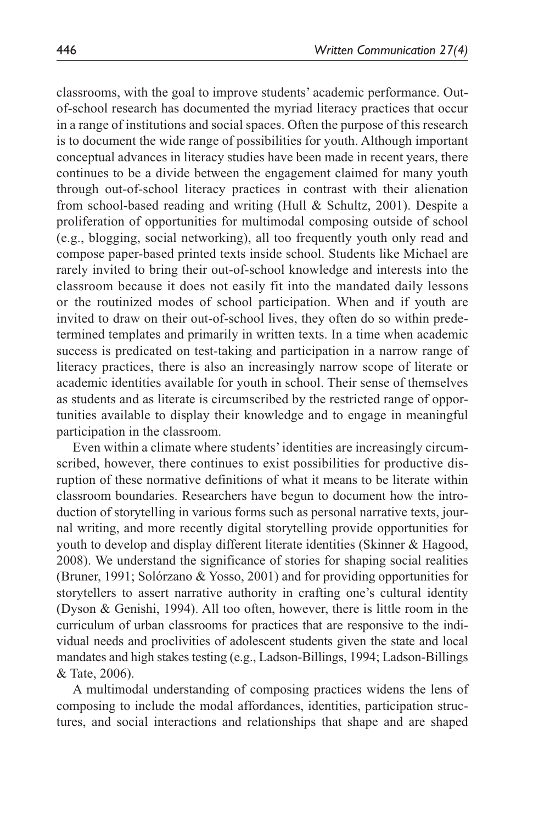classrooms, with the goal to improve students' academic performance. Outof-school research has documented the myriad literacy practices that occur in a range of institutions and social spaces. Often the purpose of this research is to document the wide range of possibilities for youth. Although important conceptual advances in literacy studies have been made in recent years, there continues to be a divide between the engagement claimed for many youth through out-of-school literacy practices in contrast with their alienation from school-based reading and writing (Hull & Schultz, 2001). Despite a proliferation of opportunities for multimodal composing outside of school (e.g., blogging, social networking), all too frequently youth only read and compose paper-based printed texts inside school. Students like Michael are rarely invited to bring their out-of-school knowledge and interests into the classroom because it does not easily fit into the mandated daily lessons or the routinized modes of school participation. When and if youth are invited to draw on their out-of-school lives, they often do so within predetermined templates and primarily in written texts. In a time when academic success is predicated on test-taking and participation in a narrow range of literacy practices, there is also an increasingly narrow scope of literate or academic identities available for youth in school. Their sense of themselves as students and as literate is circumscribed by the restricted range of opportunities available to display their knowledge and to engage in meaningful participation in the classroom.

Even within a climate where students' identities are increasingly circumscribed, however, there continues to exist possibilities for productive disruption of these normative definitions of what it means to be literate within classroom boundaries. Researchers have begun to document how the introduction of storytelling in various forms such as personal narrative texts, journal writing, and more recently digital storytelling provide opportunities for youth to develop and display different literate identities (Skinner & Hagood, 2008). We understand the significance of stories for shaping social realities (Bruner, 1991; Solórzano & Yosso, 2001) and for providing opportunities for storytellers to assert narrative authority in crafting one's cultural identity (Dyson & Genishi, 1994). All too often, however, there is little room in the curriculum of urban classrooms for practices that are responsive to the individual needs and proclivities of adolescent students given the state and local mandates and high stakes testing (e.g., Ladson-Billings, 1994; Ladson-Billings & Tate, 2006).

A multimodal understanding of composing practices widens the lens of composing to include the modal affordances, identities, participation structures, and social interactions and relationships that shape and are shaped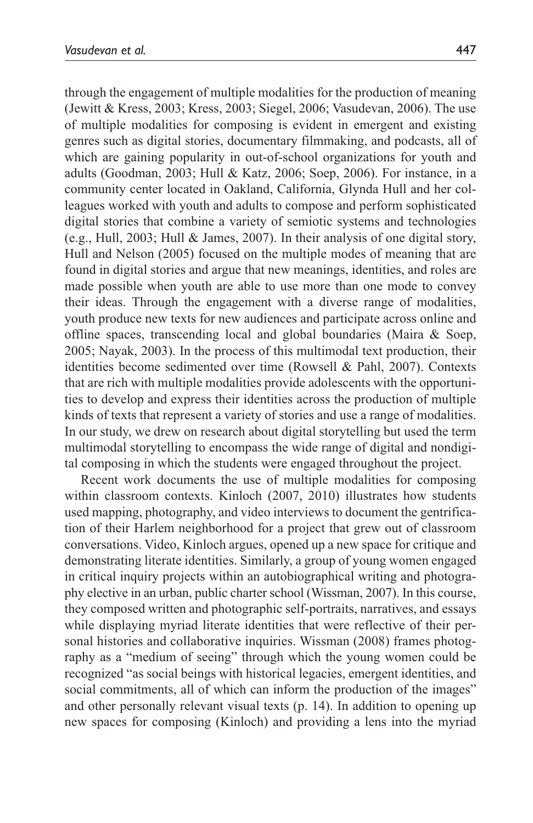through the engagement of multiple modalities for the production of meaning (Jewitt & Kress, 2003; Kress, 2003; Siegel, 2006; Vasudevan, 2006). The use of multiple modalities for composing is evident in emergent and existing genres such as digital stories, documentary filmmaking, and podcasts, all of which are gaining popularity in out-of-school organizations for youth and adults (Goodman, 2003; Hull & Katz, 2006; Soep, 2006). For instance, in a community center located in Oakland, California, Glynda Hull and her colleagues worked with youth and adults to compose and perform sophisticated digital stories that combine a variety of semiotic systems and technologies (e.g., Hull, 2003; Hull & James, 2007). In their analysis of one digital story, Hull and Nelson (2005) focused on the multiple modes of meaning that are found in digital stories and argue that new meanings, identities, and roles are made possible when youth are able to use more than one mode to convey their ideas. Through the engagement with a diverse range of modalities, youth produce new texts for new audiences and participate across online and offline spaces, transcending local and global boundaries (Maira & Soep, 2005; Nayak, 2003). In the process of this multimodal text production, their identities become sedimented over time (Rowsell & Pahl, 2007). Contexts that are rich with multiple modalities provide adolescents with the opportunities to develop and express their identities across the production of multiple kinds of texts that represent a variety of stories and use a range of modalities. In our study, we drew on research about digital storytelling but used the term multimodal storytelling to encompass the wide range of digital and nondigital composing in which the students were engaged throughout the project.

Recent work documents the use of multiple modalities for composing within classroom contexts. Kinloch (2007, 2010) illustrates how students used mapping, photography, and video interviews to document the gentrification of their Harlem neighborhood for a project that grew out of classroom conversations. Video, Kinloch argues, opened up a new space for critique and demonstrating literate identities. Similarly, a group of young women engaged in critical inquiry projects within an autobiographical writing and photography elective in an urban, public charter school (Wissman, 2007). In this course, they composed written and photographic self-portraits, narratives, and essays while displaying myriad literate identities that were reflective of their personal histories and collaborative inquiries. Wissman (2008) frames photography as a "medium of seeing" through which the young women could be recognized "as social beings with historical legacies, emergent identities, and social commitments, all of which can inform the production of the images" and other personally relevant visual texts (p. 14). In addition to opening up new spaces for composing (Kinloch) and providing a lens into the myriad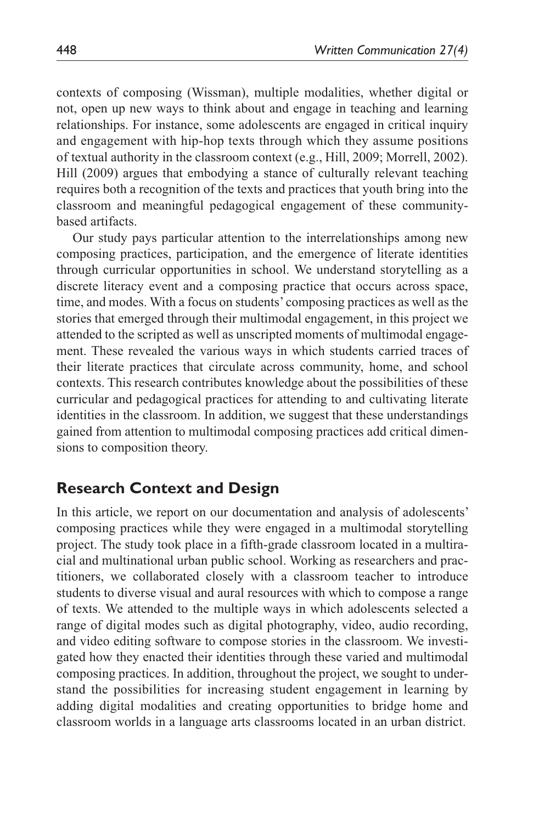contexts of composing (Wissman), multiple modalities, whether digital or not, open up new ways to think about and engage in teaching and learning relationships. For instance, some adolescents are engaged in critical inquiry and engagement with hip-hop texts through which they assume positions of textual authority in the classroom context (e.g., Hill, 2009; Morrell, 2002). Hill (2009) argues that embodying a stance of culturally relevant teaching requires both a recognition of the texts and practices that youth bring into the classroom and meaningful pedagogical engagement of these communitybased artifacts.

Our study pays particular attention to the interrelationships among new composing practices, participation, and the emergence of literate identities through curricular opportunities in school. We understand storytelling as a discrete literacy event and a composing practice that occurs across space, time, and modes. With a focus on students' composing practices as well as the stories that emerged through their multimodal engagement, in this project we attended to the scripted as well as unscripted moments of multimodal engagement. These revealed the various ways in which students carried traces of their literate practices that circulate across community, home, and school contexts. This research contributes knowledge about the possibilities of these curricular and pedagogical practices for attending to and cultivating literate identities in the classroom. In addition, we suggest that these understandings gained from attention to multimodal composing practices add critical dimensions to composition theory.

## **Research Context and Design**

In this article, we report on our documentation and analysis of adolescents' composing practices while they were engaged in a multimodal storytelling project. The study took place in a fifth-grade classroom located in a multiracial and multinational urban public school. Working as researchers and practitioners, we collaborated closely with a classroom teacher to introduce students to diverse visual and aural resources with which to compose a range of texts. We attended to the multiple ways in which adolescents selected a range of digital modes such as digital photography, video, audio recording, and video editing software to compose stories in the classroom. We investigated how they enacted their identities through these varied and multimodal composing practices. In addition, throughout the project, we sought to understand the possibilities for increasing student engagement in learning by adding digital modalities and creating opportunities to bridge home and classroom worlds in a language arts classrooms located in an urban district.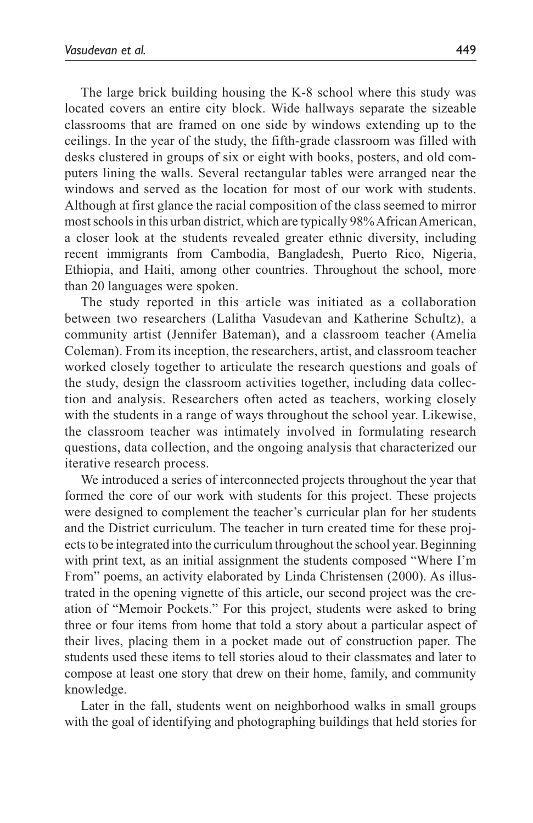The large brick building housing the K-8 school where this study was located covers an entire city block. Wide hallways separate the sizeable classrooms that are framed on one side by windows extending up to the ceilings. In the year of the study, the fifth-grade classroom was filled with desks clustered in groups of six or eight with books, posters, and old computers lining the walls. Several rectangular tables were arranged near the windows and served as the location for most of our work with students. Although at first glance the racial composition of the class seemed to mirror most schools in this urban district, which are typically 98% African American, a closer look at the students revealed greater ethnic diversity, including recent immigrants from Cambodia, Bangladesh, Puerto Rico, Nigeria, Ethiopia, and Haiti, among other countries. Throughout the school, more than 20 languages were spoken.

The study reported in this article was initiated as a collaboration between two researchers (Lalitha Vasudevan and Katherine Schultz), a community artist (Jennifer Bateman), and a classroom teacher (Amelia Coleman). From its inception, the researchers, artist, and classroom teacher worked closely together to articulate the research questions and goals of the study, design the classroom activities together, including data collection and analysis. Researchers often acted as teachers, working closely with the students in a range of ways throughout the school year. Likewise, the classroom teacher was intimately involved in formulating research questions, data collection, and the ongoing analysis that characterized our iterative research process.

We introduced a series of interconnected projects throughout the year that formed the core of our work with students for this project. These projects were designed to complement the teacher's curricular plan for her students and the District curriculum. The teacher in turn created time for these projects to be integrated into the curriculum throughout the school year. Beginning with print text, as an initial assignment the students composed "Where I'm From" poems, an activity elaborated by Linda Christensen (2000). As illustrated in the opening vignette of this article, our second project was the creation of "Memoir Pockets." For this project, students were asked to bring three or four items from home that told a story about a particular aspect of their lives, placing them in a pocket made out of construction paper. The students used these items to tell stories aloud to their classmates and later to compose at least one story that drew on their home, family, and community knowledge.

Later in the fall, students went on neighborhood walks in small groups with the goal of identifying and photographing buildings that held stories for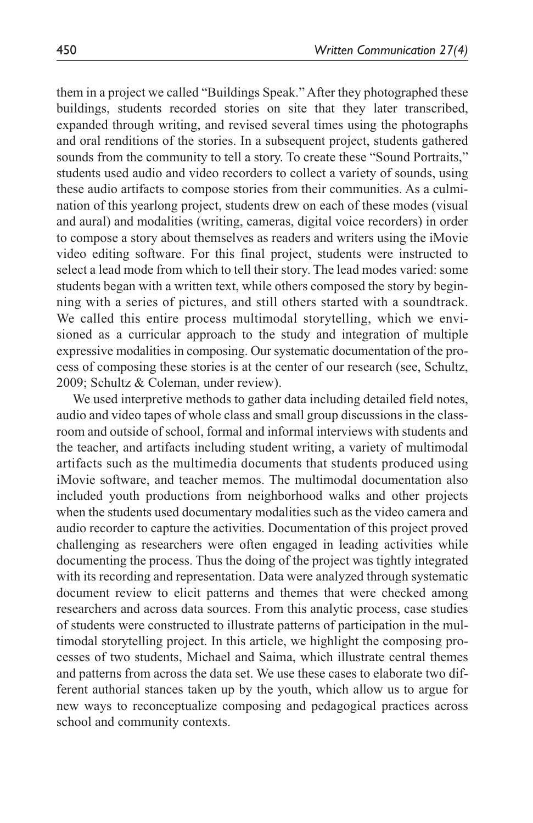them in a project we called "Buildings Speak." After they photographed these buildings, students recorded stories on site that they later transcribed, expanded through writing, and revised several times using the photographs and oral renditions of the stories. In a subsequent project, students gathered sounds from the community to tell a story. To create these "Sound Portraits," students used audio and video recorders to collect a variety of sounds, using these audio artifacts to compose stories from their communities. As a culmination of this yearlong project, students drew on each of these modes (visual and aural) and modalities (writing, cameras, digital voice recorders) in order to compose a story about themselves as readers and writers using the iMovie video editing software. For this final project, students were instructed to select a lead mode from which to tell their story. The lead modes varied: some students began with a written text, while others composed the story by beginning with a series of pictures, and still others started with a soundtrack. We called this entire process multimodal storytelling, which we envisioned as a curricular approach to the study and integration of multiple expressive modalities in composing. Our systematic documentation of the process of composing these stories is at the center of our research (see, Schultz, 2009; Schultz & Coleman, under review).

We used interpretive methods to gather data including detailed field notes, audio and video tapes of whole class and small group discussions in the classroom and outside of school, formal and informal interviews with students and the teacher, and artifacts including student writing, a variety of multimodal artifacts such as the multimedia documents that students produced using iMovie software, and teacher memos. The multimodal documentation also included youth productions from neighborhood walks and other projects when the students used documentary modalities such as the video camera and audio recorder to capture the activities. Documentation of this project proved challenging as researchers were often engaged in leading activities while documenting the process. Thus the doing of the project was tightly integrated with its recording and representation. Data were analyzed through systematic document review to elicit patterns and themes that were checked among researchers and across data sources. From this analytic process, case studies of students were constructed to illustrate patterns of participation in the multimodal storytelling project. In this article, we highlight the composing processes of two students, Michael and Saima, which illustrate central themes and patterns from across the data set. We use these cases to elaborate two different authorial stances taken up by the youth, which allow us to argue for new ways to reconceptualize composing and pedagogical practices across school and community contexts.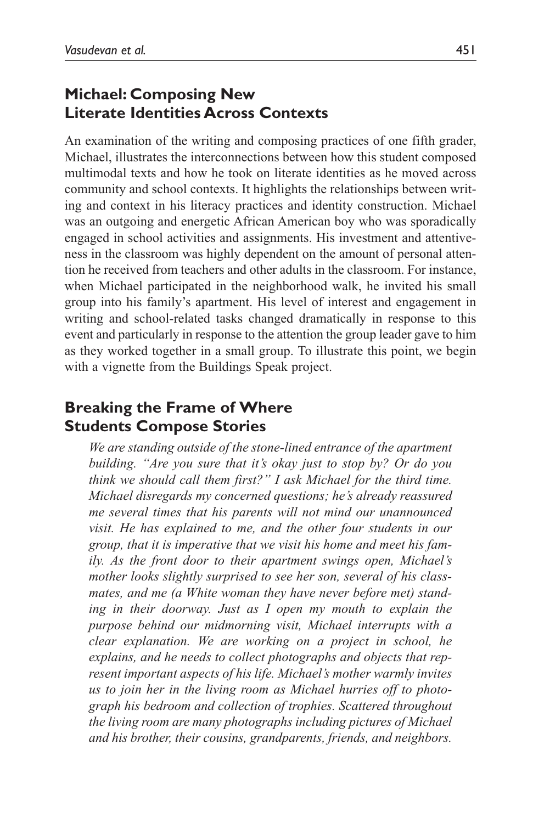## **Michael: Composing New Literate Identities Across Contexts**

An examination of the writing and composing practices of one fifth grader, Michael, illustrates the interconnections between how this student composed multimodal texts and how he took on literate identities as he moved across community and school contexts. It highlights the relationships between writing and context in his literacy practices and identity construction. Michael was an outgoing and energetic African American boy who was sporadically engaged in school activities and assignments. His investment and attentiveness in the classroom was highly dependent on the amount of personal attention he received from teachers and other adults in the classroom. For instance, when Michael participated in the neighborhood walk, he invited his small group into his family's apartment. His level of interest and engagement in writing and school-related tasks changed dramatically in response to this event and particularly in response to the attention the group leader gave to him as they worked together in a small group. To illustrate this point, we begin with a vignette from the Buildings Speak project.

# **Breaking the Frame of Where Students Compose Stories**

*We are standing outside of the stone-lined entrance of the apartment building. "Are you sure that it's okay just to stop by? Or do you think we should call them first?" I ask Michael for the third time. Michael disregards my concerned questions; he's already reassured me several times that his parents will not mind our unannounced visit. He has explained to me, and the other four students in our group, that it is imperative that we visit his home and meet his family. As the front door to their apartment swings open, Michael's mother looks slightly surprised to see her son, several of his classmates, and me (a White woman they have never before met) standing in their doorway. Just as I open my mouth to explain the purpose behind our midmorning visit, Michael interrupts with a clear explanation. We are working on a project in school, he explains, and he needs to collect photographs and objects that represent important aspects of his life. Michael's mother warmly invites us to join her in the living room as Michael hurries off to photograph his bedroom and collection of trophies. Scattered throughout the living room are many photographs including pictures of Michael and his brother, their cousins, grandparents, friends, and neighbors.*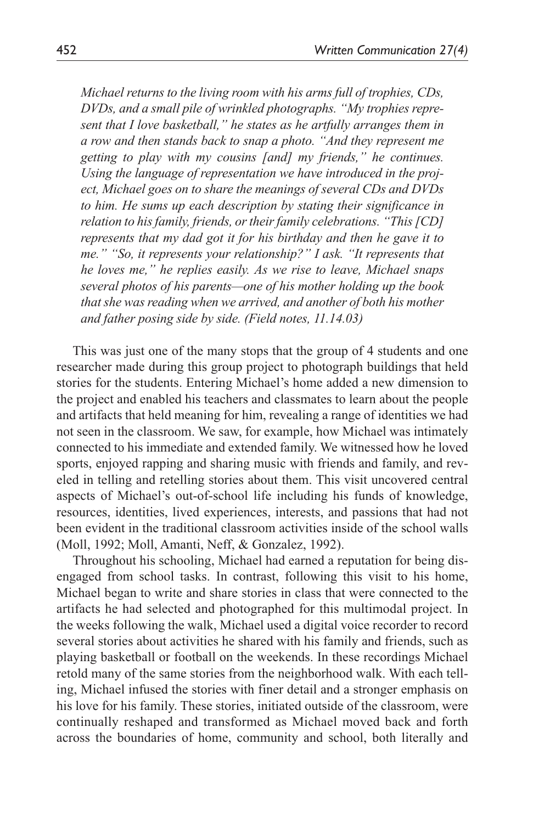*Michael returns to the living room with his arms full of trophies, CDs, DVDs, and a small pile of wrinkled photographs. "My trophies represent that I love basketball," he states as he artfully arranges them in a row and then stands back to snap a photo. "And they represent me getting to play with my cousins [and] my friends," he continues. Using the language of representation we have introduced in the project, Michael goes on to share the meanings of several CDs and DVDs to him. He sums up each description by stating their significance in relation to his family, friends, or their family celebrations. "This [CD] represents that my dad got it for his birthday and then he gave it to me." "So, it represents your relationship?" I ask. "It represents that he loves me," he replies easily. As we rise to leave, Michael snaps several photos of his parents—one of his mother holding up the book that she was reading when we arrived, and another of both his mother and father posing side by side. (Field notes, 11.14.03)*

This was just one of the many stops that the group of 4 students and one researcher made during this group project to photograph buildings that held stories for the students. Entering Michael's home added a new dimension to the project and enabled his teachers and classmates to learn about the people and artifacts that held meaning for him, revealing a range of identities we had not seen in the classroom. We saw, for example, how Michael was intimately connected to his immediate and extended family. We witnessed how he loved sports, enjoyed rapping and sharing music with friends and family, and reveled in telling and retelling stories about them. This visit uncovered central aspects of Michael's out-of-school life including his funds of knowledge, resources, identities, lived experiences, interests, and passions that had not been evident in the traditional classroom activities inside of the school walls (Moll, 1992; Moll, Amanti, Neff, & Gonzalez, 1992).

Throughout his schooling, Michael had earned a reputation for being disengaged from school tasks. In contrast, following this visit to his home, Michael began to write and share stories in class that were connected to the artifacts he had selected and photographed for this multimodal project. In the weeks following the walk, Michael used a digital voice recorder to record several stories about activities he shared with his family and friends, such as playing basketball or football on the weekends. In these recordings Michael retold many of the same stories from the neighborhood walk. With each telling, Michael infused the stories with finer detail and a stronger emphasis on his love for his family. These stories, initiated outside of the classroom, were continually reshaped and transformed as Michael moved back and forth across the boundaries of home, community and school, both literally and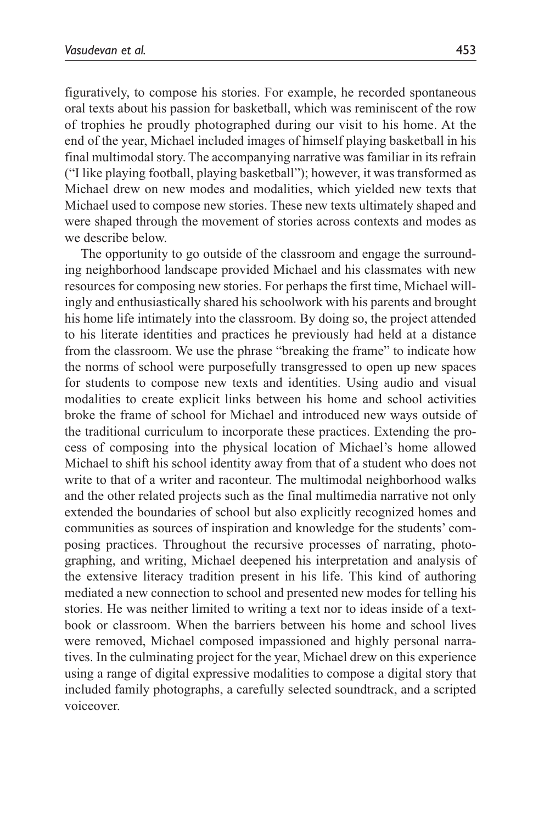figuratively, to compose his stories. For example, he recorded spontaneous oral texts about his passion for basketball, which was reminiscent of the row of trophies he proudly photographed during our visit to his home. At the end of the year, Michael included images of himself playing basketball in his final multimodal story. The accompanying narrative was familiar in its refrain ("I like playing football, playing basketball"); however, it was transformed as Michael drew on new modes and modalities, which yielded new texts that Michael used to compose new stories. These new texts ultimately shaped and were shaped through the movement of stories across contexts and modes as we describe below.

The opportunity to go outside of the classroom and engage the surrounding neighborhood landscape provided Michael and his classmates with new resources for composing new stories. For perhaps the first time, Michael willingly and enthusiastically shared his schoolwork with his parents and brought his home life intimately into the classroom. By doing so, the project attended to his literate identities and practices he previously had held at a distance from the classroom. We use the phrase "breaking the frame" to indicate how the norms of school were purposefully transgressed to open up new spaces for students to compose new texts and identities. Using audio and visual modalities to create explicit links between his home and school activities broke the frame of school for Michael and introduced new ways outside of the traditional curriculum to incorporate these practices. Extending the process of composing into the physical location of Michael's home allowed Michael to shift his school identity away from that of a student who does not write to that of a writer and raconteur. The multimodal neighborhood walks and the other related projects such as the final multimedia narrative not only extended the boundaries of school but also explicitly recognized homes and communities as sources of inspiration and knowledge for the students' composing practices. Throughout the recursive processes of narrating, photographing, and writing, Michael deepened his interpretation and analysis of the extensive literacy tradition present in his life. This kind of authoring mediated a new connection to school and presented new modes for telling his stories. He was neither limited to writing a text nor to ideas inside of a textbook or classroom. When the barriers between his home and school lives were removed, Michael composed impassioned and highly personal narratives. In the culminating project for the year, Michael drew on this experience using a range of digital expressive modalities to compose a digital story that included family photographs, a carefully selected soundtrack, and a scripted voiceover.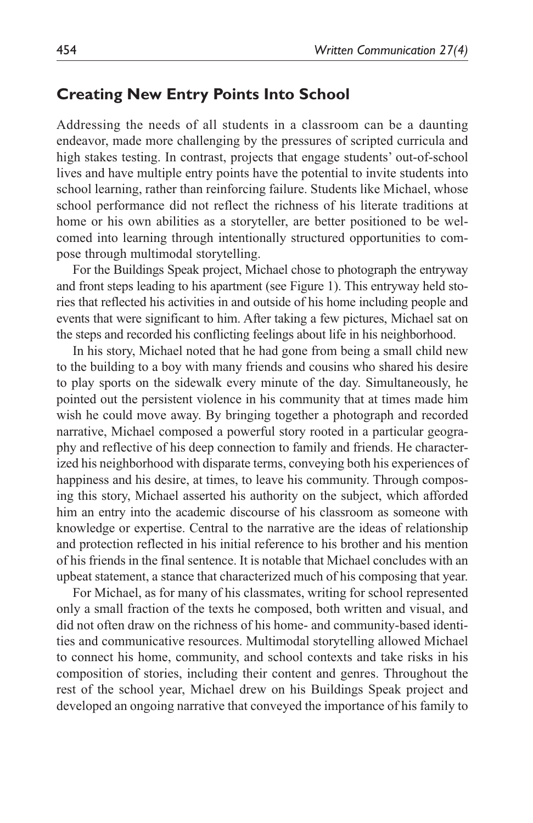## **Creating New Entry Points Into School**

Addressing the needs of all students in a classroom can be a daunting endeavor, made more challenging by the pressures of scripted curricula and high stakes testing. In contrast, projects that engage students' out-of-school lives and have multiple entry points have the potential to invite students into school learning, rather than reinforcing failure. Students like Michael, whose school performance did not reflect the richness of his literate traditions at home or his own abilities as a storyteller, are better positioned to be welcomed into learning through intentionally structured opportunities to compose through multimodal storytelling.

For the Buildings Speak project, Michael chose to photograph the entryway and front steps leading to his apartment (see Figure 1). This entryway held stories that reflected his activities in and outside of his home including people and events that were significant to him. After taking a few pictures, Michael sat on the steps and recorded his conflicting feelings about life in his neighborhood.

In his story, Michael noted that he had gone from being a small child new to the building to a boy with many friends and cousins who shared his desire to play sports on the sidewalk every minute of the day. Simultaneously, he pointed out the persistent violence in his community that at times made him wish he could move away. By bringing together a photograph and recorded narrative, Michael composed a powerful story rooted in a particular geography and reflective of his deep connection to family and friends. He characterized his neighborhood with disparate terms, conveying both his experiences of happiness and his desire, at times, to leave his community. Through composing this story, Michael asserted his authority on the subject, which afforded him an entry into the academic discourse of his classroom as someone with knowledge or expertise. Central to the narrative are the ideas of relationship and protection reflected in his initial reference to his brother and his mention of his friends in the final sentence. It is notable that Michael concludes with an upbeat statement, a stance that characterized much of his composing that year.

For Michael, as for many of his classmates, writing for school represented only a small fraction of the texts he composed, both written and visual, and did not often draw on the richness of his home- and community-based identities and communicative resources. Multimodal storytelling allowed Michael to connect his home, community, and school contexts and take risks in his composition of stories, including their content and genres. Throughout the rest of the school year, Michael drew on his Buildings Speak project and developed an ongoing narrative that conveyed the importance of his family to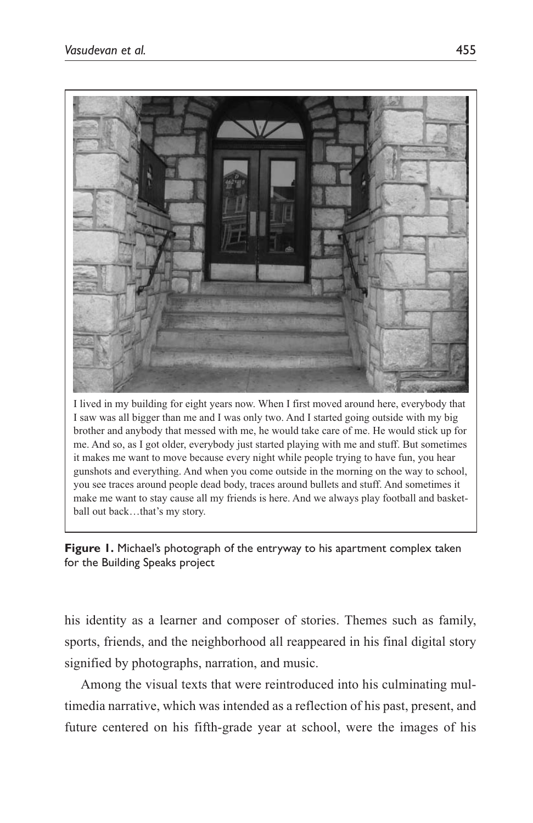

I lived in my building for eight years now. When I first moved around here, everybody that I saw was all bigger than me and I was only two. And I started going outside with my big brother and anybody that messed with me, he would take care of me. He would stick up for me. And so, as I got older, everybody just started playing with me and stuff. But sometimes it makes me want to move because every night while people trying to have fun, you hear gunshots and everything. And when you come outside in the morning on the way to school, you see traces around people dead body, traces around bullets and stuff. And sometimes it make me want to stay cause all my friends is here. And we always play football and basketball out back…that's my story.

**Figure 1.** Michael's photograph of the entryway to his apartment complex taken for the Building Speaks project

his identity as a learner and composer of stories. Themes such as family, sports, friends, and the neighborhood all reappeared in his final digital story signified by photographs, narration, and music.

Among the visual texts that were reintroduced into his culminating multimedia narrative, which was intended as a reflection of his past, present, and future centered on his fifth-grade year at school, were the images of his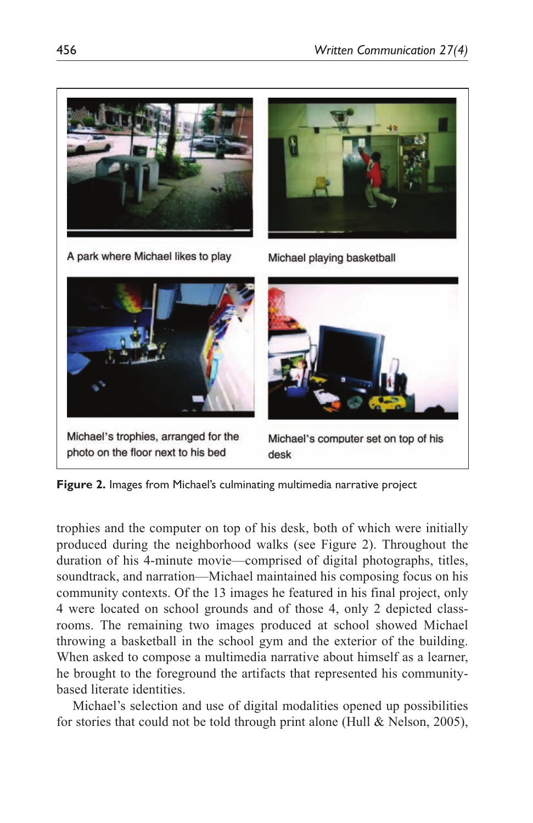

**Figure 2.** Images from Michael's culminating multimedia narrative project

trophies and the computer on top of his desk, both of which were initially produced during the neighborhood walks (see Figure 2). Throughout the duration of his 4-minute movie—comprised of digital photographs, titles, soundtrack, and narration—Michael maintained his composing focus on his community contexts. Of the 13 images he featured in his final project, only 4 were located on school grounds and of those 4, only 2 depicted classrooms. The remaining two images produced at school showed Michael throwing a basketball in the school gym and the exterior of the building. When asked to compose a multimedia narrative about himself as a learner, he brought to the foreground the artifacts that represented his communitybased literate identities.

Michael's selection and use of digital modalities opened up possibilities for stories that could not be told through print alone (Hull & Nelson, 2005),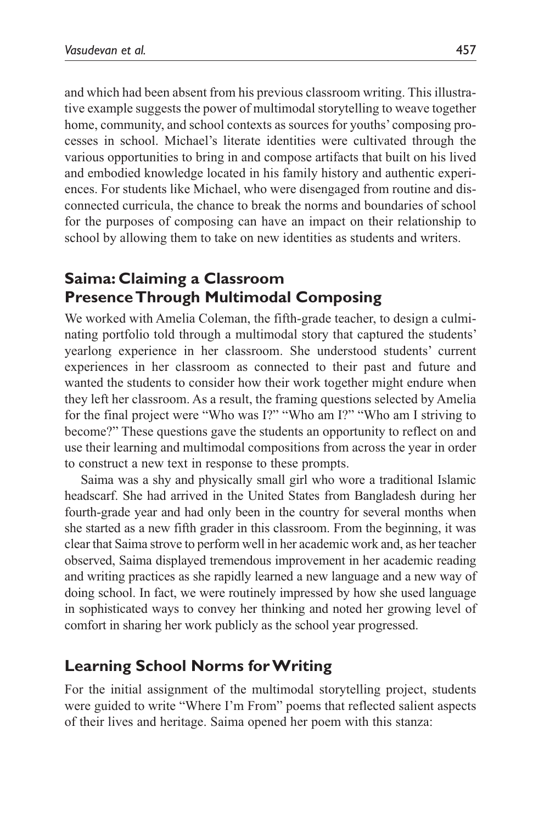and which had been absent from his previous classroom writing. This illustrative example suggests the power of multimodal storytelling to weave together home, community, and school contexts as sources for youths' composing processes in school. Michael's literate identities were cultivated through the various opportunities to bring in and compose artifacts that built on his lived and embodied knowledge located in his family history and authentic experiences. For students like Michael, who were disengaged from routine and disconnected curricula, the chance to break the norms and boundaries of school for the purposes of composing can have an impact on their relationship to school by allowing them to take on new identities as students and writers.

# **Saima: Claiming a Classroom Presence Through Multimodal Composing**

We worked with Amelia Coleman, the fifth-grade teacher, to design a culminating portfolio told through a multimodal story that captured the students' yearlong experience in her classroom. She understood students' current experiences in her classroom as connected to their past and future and wanted the students to consider how their work together might endure when they left her classroom. As a result, the framing questions selected by Amelia for the final project were "Who was I?" "Who am I?" "Who am I striving to become?" These questions gave the students an opportunity to reflect on and use their learning and multimodal compositions from across the year in order to construct a new text in response to these prompts.

Saima was a shy and physically small girl who wore a traditional Islamic headscarf. She had arrived in the United States from Bangladesh during her fourth-grade year and had only been in the country for several months when she started as a new fifth grader in this classroom. From the beginning, it was clear that Saima strove to perform well in her academic work and, as her teacher observed, Saima displayed tremendous improvement in her academic reading and writing practices as she rapidly learned a new language and a new way of doing school. In fact, we were routinely impressed by how she used language in sophisticated ways to convey her thinking and noted her growing level of comfort in sharing her work publicly as the school year progressed.

## **Learning School Norms for Writing**

For the initial assignment of the multimodal storytelling project, students were guided to write "Where I'm From" poems that reflected salient aspects of their lives and heritage. Saima opened her poem with this stanza: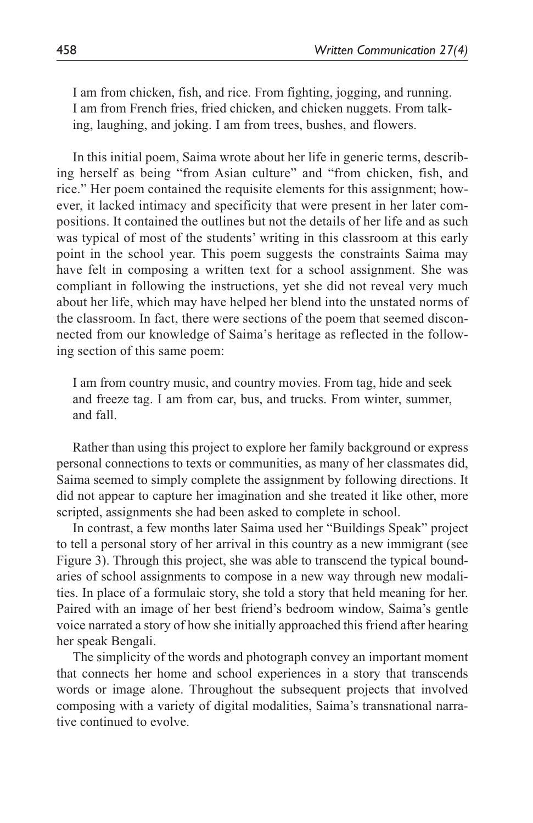I am from chicken, fish, and rice. From fighting, jogging, and running. I am from French fries, fried chicken, and chicken nuggets. From talking, laughing, and joking. I am from trees, bushes, and flowers.

In this initial poem, Saima wrote about her life in generic terms, describing herself as being "from Asian culture" and "from chicken, fish, and rice." Her poem contained the requisite elements for this assignment; however, it lacked intimacy and specificity that were present in her later compositions. It contained the outlines but not the details of her life and as such was typical of most of the students' writing in this classroom at this early point in the school year. This poem suggests the constraints Saima may have felt in composing a written text for a school assignment. She was compliant in following the instructions, yet she did not reveal very much about her life, which may have helped her blend into the unstated norms of the classroom. In fact, there were sections of the poem that seemed disconnected from our knowledge of Saima's heritage as reflected in the following section of this same poem:

I am from country music, and country movies. From tag, hide and seek and freeze tag. I am from car, bus, and trucks. From winter, summer, and fall.

Rather than using this project to explore her family background or express personal connections to texts or communities, as many of her classmates did, Saima seemed to simply complete the assignment by following directions. It did not appear to capture her imagination and she treated it like other, more scripted, assignments she had been asked to complete in school.

In contrast, a few months later Saima used her "Buildings Speak" project to tell a personal story of her arrival in this country as a new immigrant (see Figure 3). Through this project, she was able to transcend the typical boundaries of school assignments to compose in a new way through new modalities. In place of a formulaic story, she told a story that held meaning for her. Paired with an image of her best friend's bedroom window, Saima's gentle voice narrated a story of how she initially approached this friend after hearing her speak Bengali.

The simplicity of the words and photograph convey an important moment that connects her home and school experiences in a story that transcends words or image alone. Throughout the subsequent projects that involved composing with a variety of digital modalities, Saima's transnational narrative continued to evolve.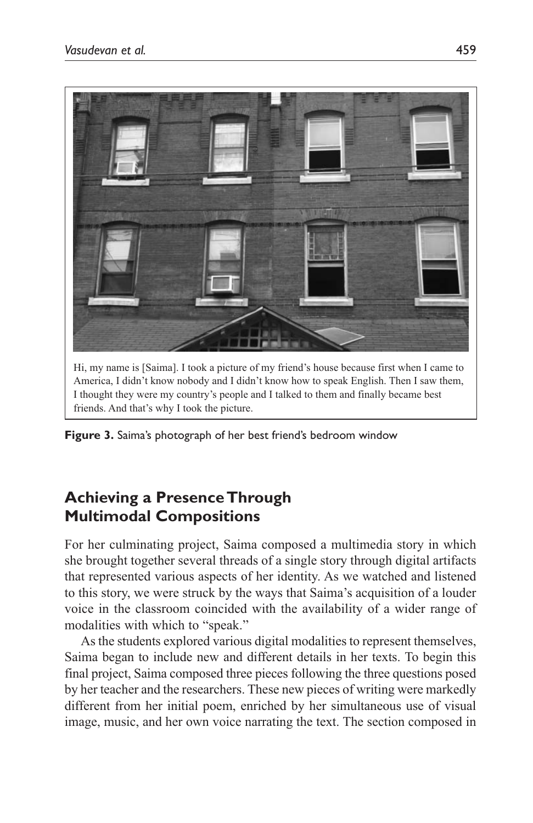

Hi, my name is [Saima]. I took a picture of my friend's house because first when I came to America, I didn't know nobody and I didn't know how to speak English. Then I saw them, I thought they were my country's people and I talked to them and finally became best friends. And that's why I took the picture.

**Figure 3.** Saima's photograph of her best friend's bedroom window

# **Achieving a Presence Through Multimodal Compositions**

For her culminating project, Saima composed a multimedia story in which she brought together several threads of a single story through digital artifacts that represented various aspects of her identity. As we watched and listened to this story, we were struck by the ways that Saima's acquisition of a louder voice in the classroom coincided with the availability of a wider range of modalities with which to "speak."

As the students explored various digital modalities to represent themselves, Saima began to include new and different details in her texts. To begin this final project, Saima composed three pieces following the three questions posed by her teacher and the researchers. These new pieces of writing were markedly different from her initial poem, enriched by her simultaneous use of visual image, music, and her own voice narrating the text. The section composed in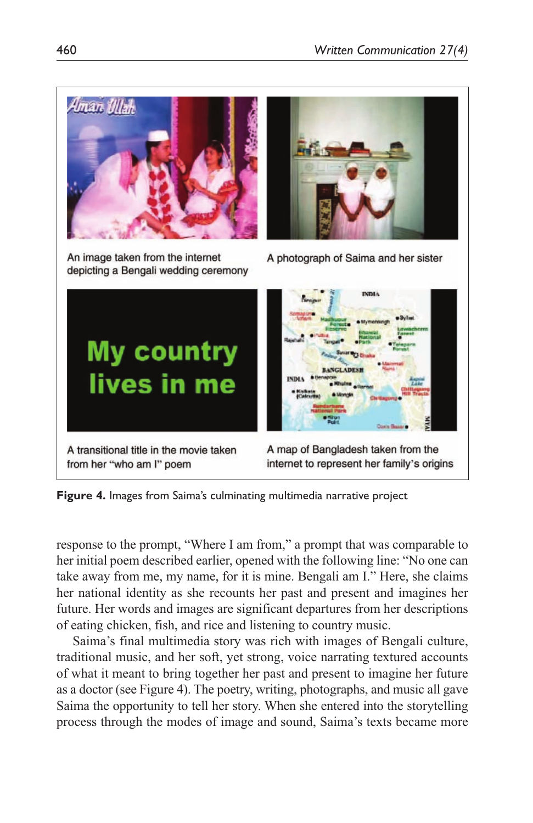

**Figure 4.** Images from Saima's culminating multimedia narrative project

response to the prompt, "Where I am from," a prompt that was comparable to her initial poem described earlier, opened with the following line: "No one can take away from me, my name, for it is mine. Bengali am I." Here, she claims her national identity as she recounts her past and present and imagines her future. Her words and images are significant departures from her descriptions of eating chicken, fish, and rice and listening to country music.

Saima's final multimedia story was rich with images of Bengali culture, traditional music, and her soft, yet strong, voice narrating textured accounts of what it meant to bring together her past and present to imagine her future as a doctor (see Figure 4). The poetry, writing, photographs, and music all gave Saima the opportunity to tell her story. When she entered into the storytelling process through the modes of image and sound, Saima's texts became more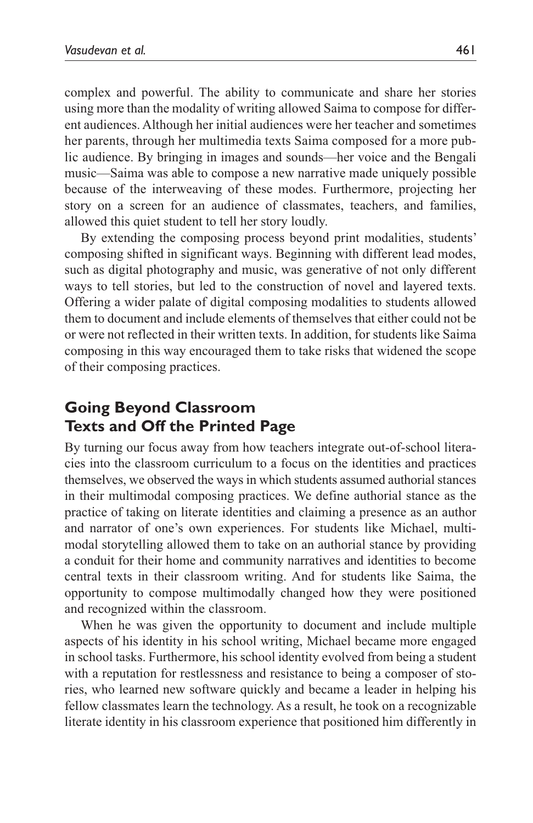complex and powerful. The ability to communicate and share her stories using more than the modality of writing allowed Saima to compose for different audiences. Although her initial audiences were her teacher and sometimes her parents, through her multimedia texts Saima composed for a more public audience. By bringing in images and sounds—her voice and the Bengali music—Saima was able to compose a new narrative made uniquely possible because of the interweaving of these modes. Furthermore, projecting her story on a screen for an audience of classmates, teachers, and families, allowed this quiet student to tell her story loudly.

By extending the composing process beyond print modalities, students' composing shifted in significant ways. Beginning with different lead modes, such as digital photography and music, was generative of not only different ways to tell stories, but led to the construction of novel and layered texts. Offering a wider palate of digital composing modalities to students allowed them to document and include elements of themselves that either could not be or were not reflected in their written texts. In addition, for students like Saima composing in this way encouraged them to take risks that widened the scope of their composing practices.

# **Going Beyond Classroom Texts and Off the Printed Page**

By turning our focus away from how teachers integrate out-of-school literacies into the classroom curriculum to a focus on the identities and practices themselves, we observed the ways in which students assumed authorial stances in their multimodal composing practices. We define authorial stance as the practice of taking on literate identities and claiming a presence as an author and narrator of one's own experiences. For students like Michael, multimodal storytelling allowed them to take on an authorial stance by providing a conduit for their home and community narratives and identities to become central texts in their classroom writing. And for students like Saima, the opportunity to compose multimodally changed how they were positioned and recognized within the classroom.

When he was given the opportunity to document and include multiple aspects of his identity in his school writing, Michael became more engaged in school tasks. Furthermore, his school identity evolved from being a student with a reputation for restlessness and resistance to being a composer of stories, who learned new software quickly and became a leader in helping his fellow classmates learn the technology. As a result, he took on a recognizable literate identity in his classroom experience that positioned him differently in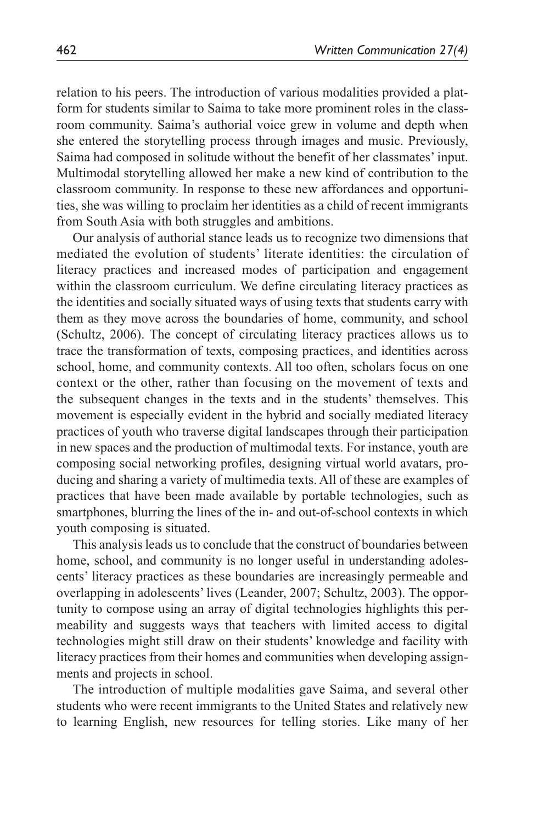relation to his peers. The introduction of various modalities provided a platform for students similar to Saima to take more prominent roles in the classroom community. Saima's authorial voice grew in volume and depth when she entered the storytelling process through images and music. Previously, Saima had composed in solitude without the benefit of her classmates' input. Multimodal storytelling allowed her make a new kind of contribution to the classroom community. In response to these new affordances and opportunities, she was willing to proclaim her identities as a child of recent immigrants from South Asia with both struggles and ambitions.

Our analysis of authorial stance leads us to recognize two dimensions that mediated the evolution of students' literate identities: the circulation of literacy practices and increased modes of participation and engagement within the classroom curriculum. We define circulating literacy practices as the identities and socially situated ways of using texts that students carry with them as they move across the boundaries of home, community, and school (Schultz, 2006). The concept of circulating literacy practices allows us to trace the transformation of texts, composing practices, and identities across school, home, and community contexts. All too often, scholars focus on one context or the other, rather than focusing on the movement of texts and the subsequent changes in the texts and in the students' themselves. This movement is especially evident in the hybrid and socially mediated literacy practices of youth who traverse digital landscapes through their participation in new spaces and the production of multimodal texts. For instance, youth are composing social networking profiles, designing virtual world avatars, producing and sharing a variety of multimedia texts. All of these are examples of practices that have been made available by portable technologies, such as smartphones, blurring the lines of the in- and out-of-school contexts in which youth composing is situated.

This analysis leads us to conclude that the construct of boundaries between home, school, and community is no longer useful in understanding adolescents' literacy practices as these boundaries are increasingly permeable and overlapping in adolescents' lives (Leander, 2007; Schultz, 2003). The opportunity to compose using an array of digital technologies highlights this permeability and suggests ways that teachers with limited access to digital technologies might still draw on their students' knowledge and facility with literacy practices from their homes and communities when developing assignments and projects in school.

The introduction of multiple modalities gave Saima, and several other students who were recent immigrants to the United States and relatively new to learning English, new resources for telling stories. Like many of her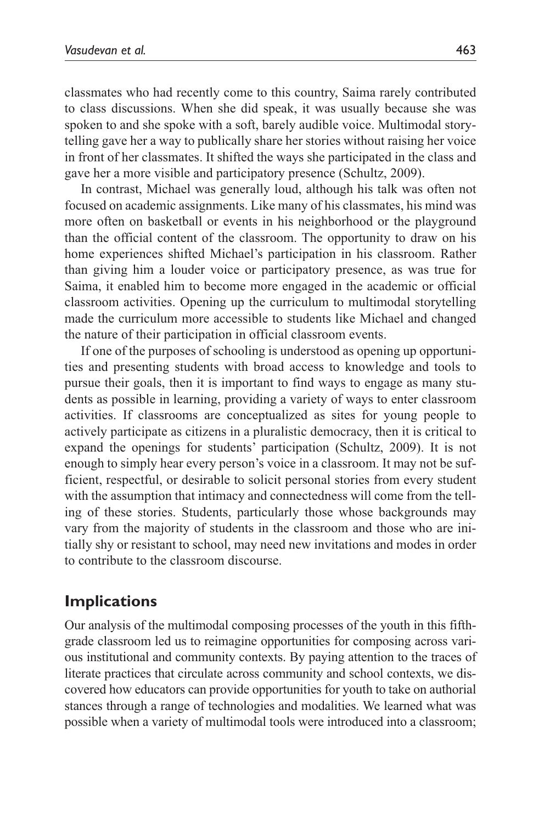classmates who had recently come to this country, Saima rarely contributed to class discussions. When she did speak, it was usually because she was spoken to and she spoke with a soft, barely audible voice. Multimodal storytelling gave her a way to publically share her stories without raising her voice in front of her classmates. It shifted the ways she participated in the class and gave her a more visible and participatory presence (Schultz, 2009).

In contrast, Michael was generally loud, although his talk was often not focused on academic assignments. Like many of his classmates, his mind was more often on basketball or events in his neighborhood or the playground than the official content of the classroom. The opportunity to draw on his home experiences shifted Michael's participation in his classroom. Rather than giving him a louder voice or participatory presence, as was true for Saima, it enabled him to become more engaged in the academic or official classroom activities. Opening up the curriculum to multimodal storytelling made the curriculum more accessible to students like Michael and changed the nature of their participation in official classroom events.

If one of the purposes of schooling is understood as opening up opportunities and presenting students with broad access to knowledge and tools to pursue their goals, then it is important to find ways to engage as many students as possible in learning, providing a variety of ways to enter classroom activities. If classrooms are conceptualized as sites for young people to actively participate as citizens in a pluralistic democracy, then it is critical to expand the openings for students' participation (Schultz, 2009). It is not enough to simply hear every person's voice in a classroom. It may not be sufficient, respectful, or desirable to solicit personal stories from every student with the assumption that intimacy and connectedness will come from the telling of these stories. Students, particularly those whose backgrounds may vary from the majority of students in the classroom and those who are initially shy or resistant to school, may need new invitations and modes in order to contribute to the classroom discourse.

### **Implications**

Our analysis of the multimodal composing processes of the youth in this fifthgrade classroom led us to reimagine opportunities for composing across various institutional and community contexts. By paying attention to the traces of literate practices that circulate across community and school contexts, we discovered how educators can provide opportunities for youth to take on authorial stances through a range of technologies and modalities. We learned what was possible when a variety of multimodal tools were introduced into a classroom;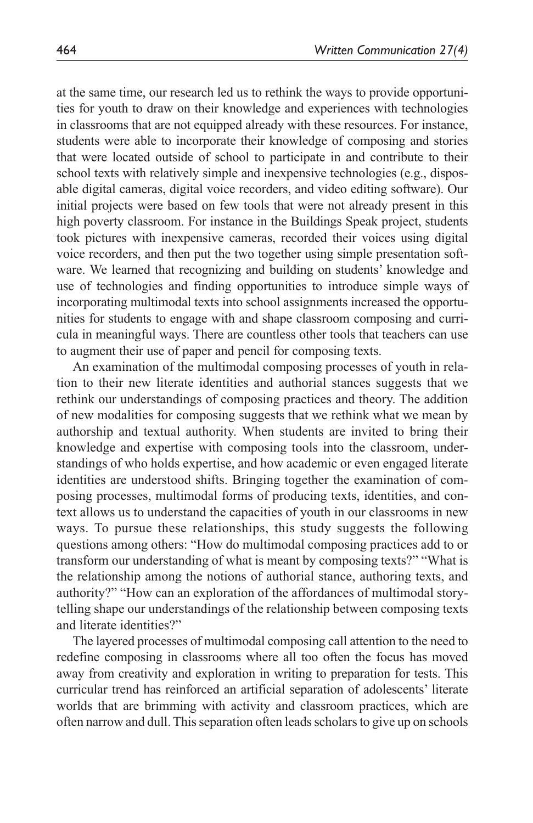at the same time, our research led us to rethink the ways to provide opportunities for youth to draw on their knowledge and experiences with technologies in classrooms that are not equipped already with these resources. For instance, students were able to incorporate their knowledge of composing and stories that were located outside of school to participate in and contribute to their school texts with relatively simple and inexpensive technologies (e.g., disposable digital cameras, digital voice recorders, and video editing software). Our initial projects were based on few tools that were not already present in this high poverty classroom. For instance in the Buildings Speak project, students took pictures with inexpensive cameras, recorded their voices using digital voice recorders, and then put the two together using simple presentation software. We learned that recognizing and building on students' knowledge and use of technologies and finding opportunities to introduce simple ways of incorporating multimodal texts into school assignments increased the opportunities for students to engage with and shape classroom composing and curricula in meaningful ways. There are countless other tools that teachers can use to augment their use of paper and pencil for composing texts.

An examination of the multimodal composing processes of youth in relation to their new literate identities and authorial stances suggests that we rethink our understandings of composing practices and theory. The addition of new modalities for composing suggests that we rethink what we mean by authorship and textual authority. When students are invited to bring their knowledge and expertise with composing tools into the classroom, understandings of who holds expertise, and how academic or even engaged literate identities are understood shifts. Bringing together the examination of composing processes, multimodal forms of producing texts, identities, and context allows us to understand the capacities of youth in our classrooms in new ways. To pursue these relationships, this study suggests the following questions among others: "How do multimodal composing practices add to or transform our understanding of what is meant by composing texts?" "What is the relationship among the notions of authorial stance, authoring texts, and authority?" "How can an exploration of the affordances of multimodal storytelling shape our understandings of the relationship between composing texts and literate identities?"

The layered processes of multimodal composing call attention to the need to redefine composing in classrooms where all too often the focus has moved away from creativity and exploration in writing to preparation for tests. This curricular trend has reinforced an artificial separation of adolescents' literate worlds that are brimming with activity and classroom practices, which are often narrow and dull. This separation often leads scholars to give up on schools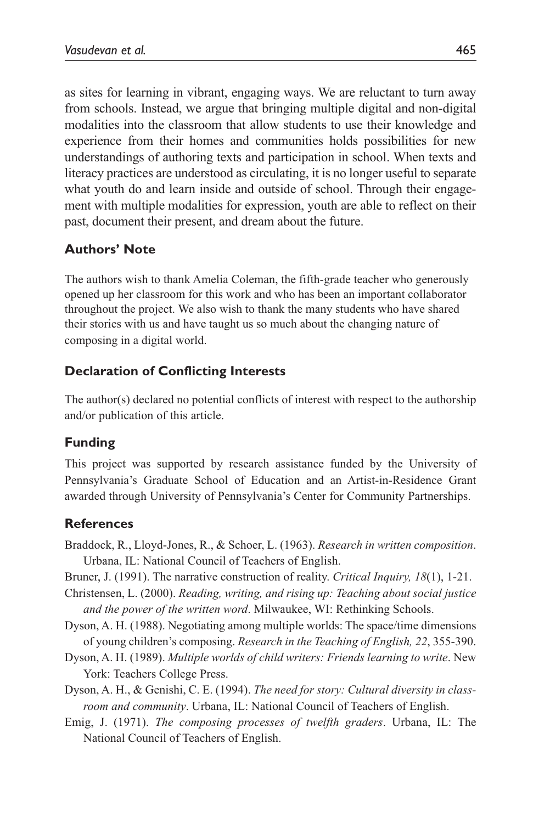as sites for learning in vibrant, engaging ways. We are reluctant to turn away from schools. Instead, we argue that bringing multiple digital and non-digital modalities into the classroom that allow students to use their knowledge and experience from their homes and communities holds possibilities for new understandings of authoring texts and participation in school. When texts and literacy practices are understood as circulating, it is no longer useful to separate what youth do and learn inside and outside of school. Through their engagement with multiple modalities for expression, youth are able to reflect on their past, document their present, and dream about the future.

### **Authors' Note**

The authors wish to thank Amelia Coleman, the fifth-grade teacher who generously opened up her classroom for this work and who has been an important collaborator throughout the project. We also wish to thank the many students who have shared their stories with us and have taught us so much about the changing nature of composing in a digital world.

### **Declaration of Conflicting Interests**

The author(s) declared no potential conflicts of interest with respect to the authorship and/or publication of this article.

### **Funding**

This project was supported by research assistance funded by the University of Pennsylvania's Graduate School of Education and an Artist-in-Residence Grant awarded through University of Pennsylvania's Center for Community Partnerships.

### **References**

Braddock, R., Lloyd-Jones, R., & Schoer, L. (1963). *Research in written composition*. Urbana, IL: National Council of Teachers of English.

Bruner, J. (1991). The narrative construction of reality. *Critical Inquiry, 18*(1), 1-21.

Christensen, L. (2000). *Reading, writing, and rising up: Teaching about social justice and the power of the written word*. Milwaukee, WI: Rethinking Schools.

Dyson, A. H. (1988). Negotiating among multiple worlds: The space/time dimensions of young children's composing. *Research in the Teaching of English, 22*, 355-390.

Dyson, A. H. (1989). *Multiple worlds of child writers: Friends learning to write*. New York: Teachers College Press.

Dyson, A. H., & Genishi, C. E. (1994). *The need for story: Cultural diversity in classroom and community*. Urbana, IL: National Council of Teachers of English.

Emig, J. (1971). *The composing processes of twelfth graders*. Urbana, IL: The National Council of Teachers of English.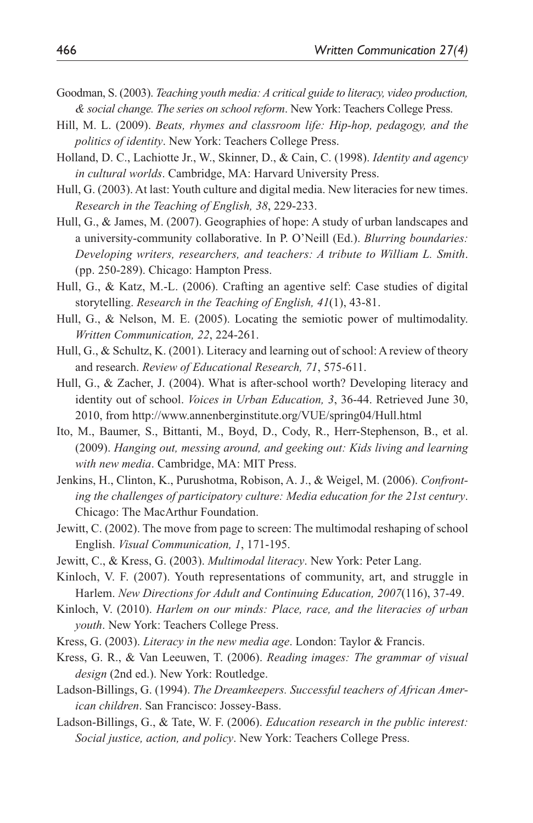- Goodman, S. (2003). *Teaching youth media: A critical guide to literacy, video production, & social change. The series on school reform*. New York: Teachers College Press.
- Hill, M. L. (2009). *Beats, rhymes and classroom life: Hip-hop, pedagogy, and the politics of identity*. New York: Teachers College Press.
- Holland, D. C., Lachiotte Jr., W., Skinner, D., & Cain, C. (1998). *Identity and agency in cultural worlds*. Cambridge, MA: Harvard University Press.
- Hull, G. (2003). At last: Youth culture and digital media. New literacies for new times. *Research in the Teaching of English, 38*, 229-233.
- Hull, G., & James, M. (2007). Geographies of hope: A study of urban landscapes and a university-community collaborative. In P. O'Neill (Ed.). *Blurring boundaries: Developing writers, researchers, and teachers: A tribute to William L. Smith*. (pp. 250-289). Chicago: Hampton Press.
- Hull, G., & Katz, M.-L. (2006). Crafting an agentive self: Case studies of digital storytelling. *Research in the Teaching of English, 41*(1), 43-81.
- Hull, G., & Nelson, M. E. (2005). Locating the semiotic power of multimodality. *Written Communication, 22*, 224-261.
- Hull, G., & Schultz, K. (2001). Literacy and learning out of school: A review of theory and research. *Review of Educational Research, 71*, 575-611.
- Hull, G., & Zacher, J. (2004). What is after-school worth? Developing literacy and identity out of school. *Voices in Urban Education, 3*, 36-44. Retrieved June 30, 2010, from http://www.annenberginstitute.org/VUE/spring04/Hull.html
- Ito, M., Baumer, S., Bittanti, M., Boyd, D., Cody, R., Herr-Stephenson, B., et al. (2009). *Hanging out, messing around, and geeking out: Kids living and learning with new media*. Cambridge, MA: MIT Press.
- Jenkins, H., Clinton, K., Purushotma, Robison, A. J., & Weigel, M. (2006). *Confronting the challenges of participatory culture: Media education for the 21st century*. Chicago: The MacArthur Foundation.
- Jewitt, C. (2002). The move from page to screen: The multimodal reshaping of school English. *Visual Communication, 1*, 171-195.
- Jewitt, C., & Kress, G. (2003). *Multimodal literacy*. New York: Peter Lang.
- Kinloch, V. F. (2007). Youth representations of community, art, and struggle in Harlem. *New Directions for Adult and Continuing Education, 2007*(116), 37-49.
- Kinloch, V. (2010). *Harlem on our minds: Place, race, and the literacies of urban youth*. New York: Teachers College Press.
- Kress, G. (2003). *Literacy in the new media age*. London: Taylor & Francis.
- Kress, G. R., & Van Leeuwen, T. (2006). *Reading images: The grammar of visual design* (2nd ed.). New York: Routledge.
- Ladson-Billings, G. (1994). *The Dreamkeepers. Successful teachers of African American children*. San Francisco: Jossey-Bass.
- Ladson-Billings, G., & Tate, W. F. (2006). *Education research in the public interest: Social justice, action, and policy*. New York: Teachers College Press.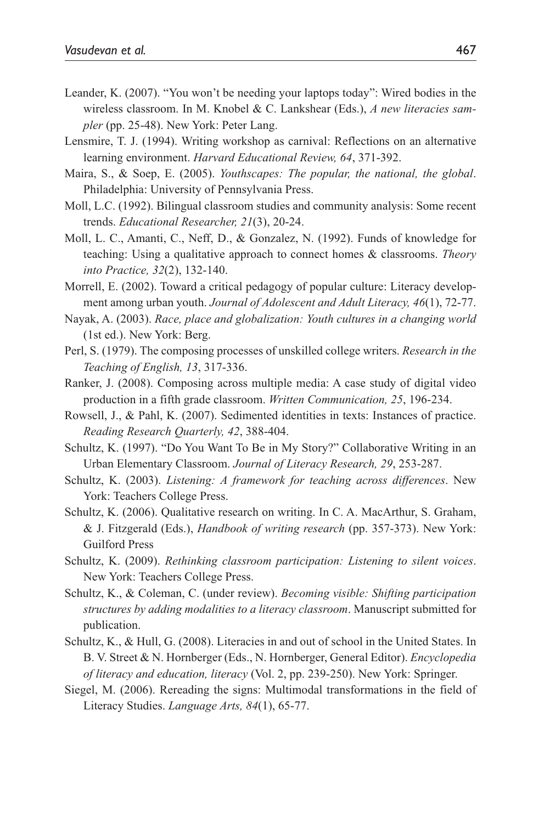- Leander, K. (2007). "You won't be needing your laptops today": Wired bodies in the wireless classroom. In M. Knobel & C. Lankshear (Eds.), *A new literacies sampler* (pp. 25-48). New York: Peter Lang.
- Lensmire, T. J. (1994). Writing workshop as carnival: Reflections on an alternative learning environment. *Harvard Educational Review, 64*, 371-392.
- Maira, S., & Soep, E. (2005). *Youthscapes: The popular, the national, the global*. Philadelphia: University of Pennsylvania Press.
- Moll, L.C. (1992). Bilingual classroom studies and community analysis: Some recent trends. *Educational Researcher, 21*(3), 20-24.
- Moll, L. C., Amanti, C., Neff, D., & Gonzalez, N. (1992). Funds of knowledge for teaching: Using a qualitative approach to connect homes & classrooms. *Theory into Practice, 32*(2), 132-140.
- Morrell, E. (2002). Toward a critical pedagogy of popular culture: Literacy development among urban youth. *Journal of Adolescent and Adult Literacy, 46*(1), 72-77.
- Nayak, A. (2003). *Race, place and globalization: Youth cultures in a changing world* (1st ed.). New York: Berg.
- Perl, S. (1979). The composing processes of unskilled college writers. *Research in the Teaching of English, 13*, 317-336.
- Ranker, J. (2008). Composing across multiple media: A case study of digital video production in a fifth grade classroom. *Written Communication, 25*, 196-234.
- Rowsell, J., & Pahl, K. (2007). Sedimented identities in texts: Instances of practice. *Reading Research Quarterly, 42*, 388-404.
- Schultz, K. (1997). "Do You Want To Be in My Story?" Collaborative Writing in an Urban Elementary Classroom. *Journal of Literacy Research, 29*, 253-287.
- Schultz, K. (2003). *Listening: A framework for teaching across differences*. New York: Teachers College Press.
- Schultz, K. (2006). Qualitative research on writing. In C. A. MacArthur, S. Graham, & J. Fitzgerald (Eds.), *Handbook of writing research* (pp. 357-373). New York: Guilford Press
- Schultz, K. (2009). *Rethinking classroom participation: Listening to silent voices*. New York: Teachers College Press.
- Schultz, K., & Coleman, C. (under review). *Becoming visible: Shifting participation structures by adding modalities to a literacy classroom*. Manuscript submitted for publication.
- Schultz, K., & Hull, G. (2008). Literacies in and out of school in the United States. In B. V. Street & N. Hornberger (Eds., N. Hornberger, General Editor). *Encyclopedia of literacy and education, literacy* (Vol. 2, pp. 239-250). New York: Springer.
- Siegel, M. (2006). Rereading the signs: Multimodal transformations in the field of Literacy Studies. *Language Arts, 84*(1), 65-77.